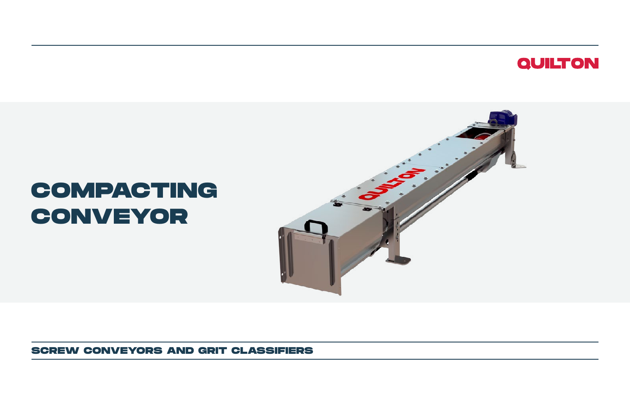### **QUILTON**

## **COMPACTING CONVEYOR**



**SCREW CONVEYORS AND GRIT CLASSIFIERS**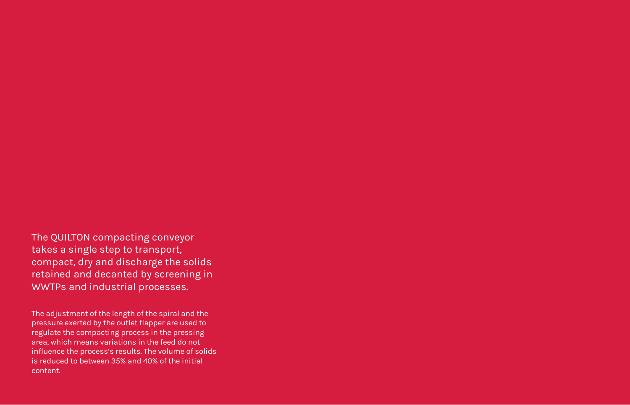### The QUILTON compacting conveyor takes a single step to transport, compact, dry and discharge the solids retained and decanted by screening in

WWTPs and industrial processes.

The adjustment of the length of the spiral and the pressure exerted by the outlet flapper are used to regulate the compacting process in the pressing area, which means variations in the feed do not influence the process's results. The volume of solids is reduced to between 35% and 40% of the initial content.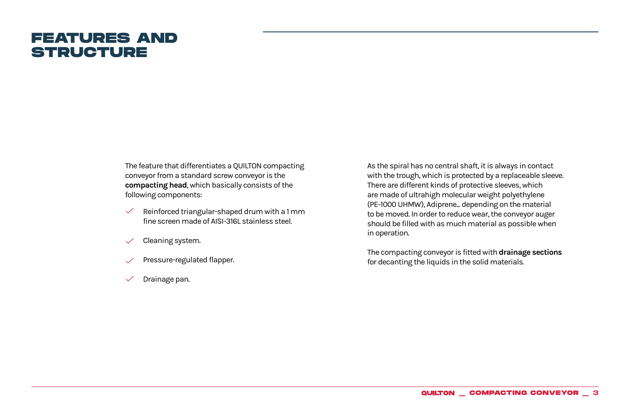### **FEATURES AND STRUCTURE**

The feature that differentiates a QUILTON compacting conveyor from a standard screw conveyor is the **compacting head**, which basically consists of the following components:

- Reinforced triangular-shaped drum with a 1 mm  $\checkmark$ fine screen made of AISI-316L stainless steel.
- Cleaning system.
- Pressure-regulated flapper.
- Drainage pan.

As the spiral has no central shaft, it is always in contact with the trough, which is protected by a replaceable sleeve. There are different kinds of protective sleeves, which are made of ultrahigh molecular weight polyethylene (PE-1000 UHMW), Adiprene... depending on the material to be moved. In order to reduce wear, the conveyor auger should be filled with as much material as possible when in operation.

The compacting conveyor is fitted with **drainage sections**  for decanting the liquids in the solid materials.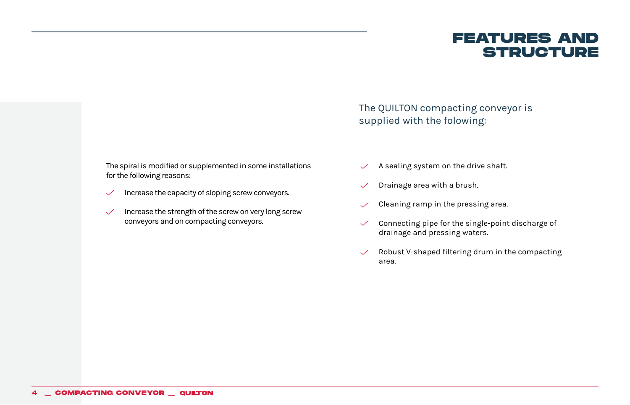**FEATURES AND STRUCTURE**

The QUILTON compacting conveyor is supplied with the folowing:

The spiral is modified or supplemented in some installations for the following reasons:

- Increase the capacity of sloping screw conveyors.  $\checkmark$
- Increase the strength of the screw on very long screw  $\checkmark$ conveyors and on compacting conveyors.
- A sealing system on the drive shaft.  $\checkmark$
- Drainage area with a brush.  $\checkmark$
- Cleaning ramp in the pressing area.  $\checkmark$
- Connecting pipe for the single-point discharge of  $\checkmark$ drainage and pressing waters.
- Robust V-shaped filtering drum in the compacting  $\checkmark$ area.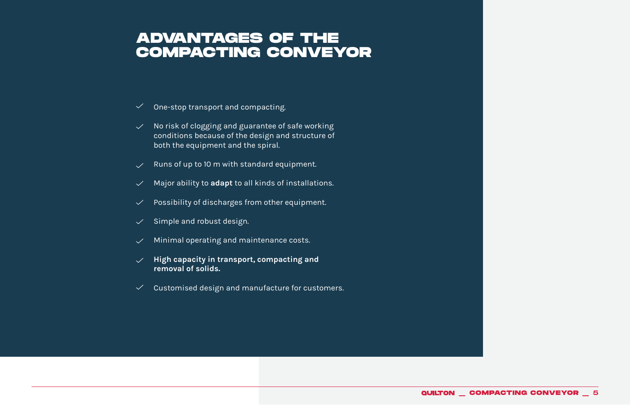### **ADVANTAGES OF THE COMPACTING CONVEYOR**

- $\checkmark$  One-stop transport and compacting.
- $\vee$  No risk of clogging and guarantee of safe working conditions because of the design and structure of both the equipment and the spiral.
- Runs of up to 10 m with standard equipment.  $\checkmark$
- $\vee$  Major ability to **adapt** to all kinds of installations.
- Possibility of discharges from other equipment.  $\checkmark$
- Simple and robust design.  $\checkmark$
- $\vee$  Minimal operating and maintenance costs.
- **High capacity in transport, compacting and removal of solids.**
- $\vee$  Customised design and manufacture for customers.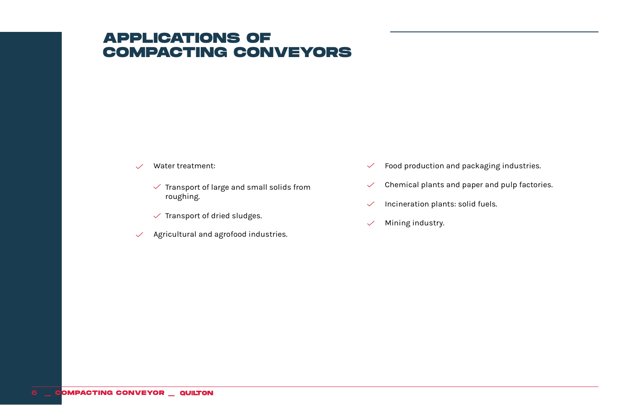### **APPLICATIONS OF COMPACTING CONVEYORS**

- $\checkmark$ 
	- $\checkmark$  Transport of large and small solids from roughing.
	- $\checkmark$  Transport of dried sludges.
- $\vee$  Agricultural and agrofood industries.
- Water treatment:  $\checkmark$  Food production and packaging industries.
	- Chemical plants and paper and pulp factories.  $\checkmark$
	- Incineration plants: solid fuels.  $\checkmark$
	- Mining industry.  $\checkmark$